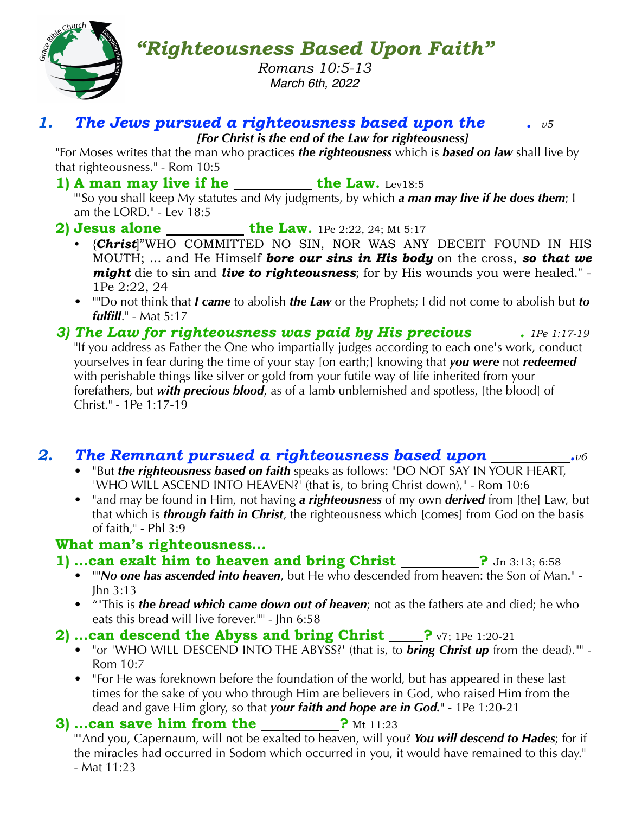

*"Righteousness Based Upon Faith"*

*Romans 10:5-13 March 6th, 2022*

#### *1. The Jews pursued a righteousness based upon the . v5*

*[For Christ is the end of the Law for righteousness]*

"For Moses writes that the man who practices *the righteousness* which is *based on law* shall live by that righteousness." - Rom 10:5

1) A man may live if he \_\_\_\_\_\_\_\_\_ the Law. Lev18:5

"'So you shall keep My statutes and My judgments, by which *a man may live if he does them*; I am the LORD." - Lev 18:5

- **2)** Jesus alone the Law. 1Pe 2:22, 24; Mt 5:17
	- {*Christ*]"WHO COMMITTED NO SIN, NOR WAS ANY DECEIT FOUND IN HIS MOUTH; ... and He Himself *bore our sins in His body* on the cross, *so that we might* die to sin and *live to righteousness*; for by His wounds you were healed." - 1Pe 2:22, 24
	- ""Do not think that *I came* to abolish *the Law* or the Prophets; I did not come to abolish but *to fulfill*." - Mat 5:17
- *3) The Law for righteousness was paid by His precious . 1Pe 1:17-19* "If you address as Father the One who impartially judges according to each one's work, conduct yourselves in fear during the time of your stay [on earth;] knowing that *you were* not *redeemed* with perishable things like silver or gold from your futile way of life inherited from your forefathers, but *with precious blood*, as of a lamb unblemished and spotless, [the blood] of Christ." - 1Pe 1:17-19

# *2. The Remnant pursued a righteousness based upon .v6*

- "But *the righteousness based on faith* speaks as follows: "DO NOT SAY IN YOUR HEART, 'WHO WILL ASCEND INTO HEAVEN?<sup>'</sup> (that is, to bring Christ down)," - Rom 10:6
- "and may be found in Him, not having *a righteousness* of my own *derived* from [the] Law, but that which is *through faith in Christ*, the righteousness which [comes] from God on the basis of faith," - Phl 3:9

#### **What man's righteousness…**

- **1)** ...can exalt him to heaven and bring Christ \_\_\_\_\_\_\_\_\_? Jn 3:13; 6:58
	-
	- ""*No one has ascended into heaven*, but He who descended from heaven: the Son of Man." Jhn 3:13
	- ""This is *the bread which came down out of heaven*; not as the fathers ate and died; he who eats this bread will live forever."" - Jhn 6:58

## **2) …can descend the Abyss and bring Christ ?** v7; 1Pe 1:20-21

- **•** "or 'WHO WILL DESCEND INTO THE ABYSS?' (that is, to *bring Christ up* from the dead)."" Rom 10:7
- "For He was foreknown before the foundation of the world, but has appeared in these last times for the sake of you who through Him are believers in God, who raised Him from the dead and gave Him glory, so that *your faith and hope are in God.*" - 1Pe 1:20-21

## **3)** ...can save him from the ?  $Mt$  11:23

""And you, Capernaum, will not be exalted to heaven, will you? *You will descend to Hades*; for if the miracles had occurred in Sodom which occurred in you, it would have remained to this day." - Mat 11:23